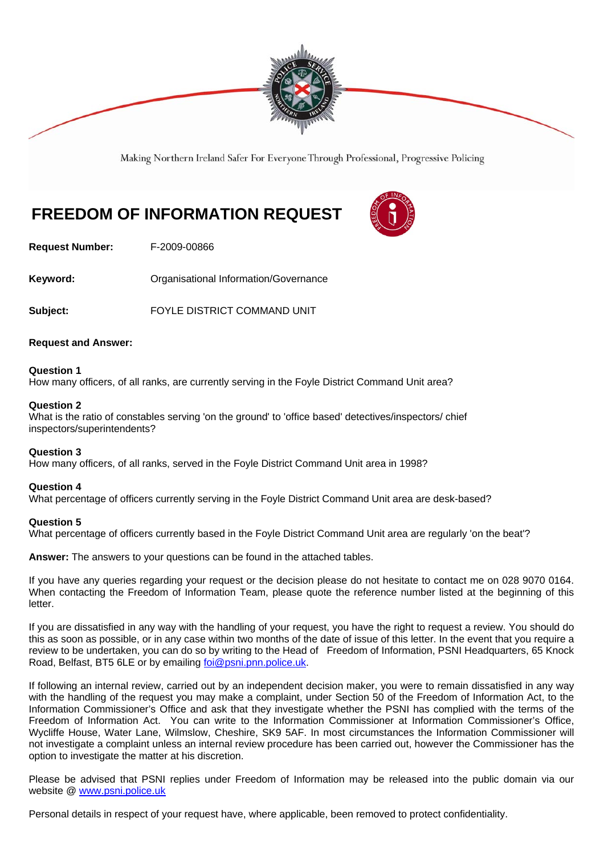

Making Northern Ireland Safer For Everyone Through Professional, Progressive Policing

# **FREEDOM OF INFORMATION REQUEST**



**Request Number:** F-2009-00866

**Keyword: C**rganisational Information/Governance

**Subject:** FOYLE DISTRICT COMMAND UNIT

# **Request and Answer:**

# **Question 1**

How many officers, of all ranks, are currently serving in the Foyle District Command Unit area?

### **Question 2**

What is the ratio of constables serving 'on the ground' to 'office based' detectives/inspectors/ chief inspectors/superintendents?

# **Question 3**

How many officers, of all ranks, served in the Foyle District Command Unit area in 1998?

### **Question 4**

What percentage of officers currently serving in the Foyle District Command Unit area are desk-based?

### **Question 5**

What percentage of officers currently based in the Foyle District Command Unit area are regularly 'on the beat'?

**Answer:** The answers to your questions can be found in the attached tables.

If you have any queries regarding your request or the decision please do not hesitate to contact me on 028 9070 0164. When contacting the Freedom of Information Team, please quote the reference number listed at the beginning of this letter.

If you are dissatisfied in any way with the handling of your request, you have the right to request a review. You should do this as soon as possible, or in any case within two months of the date of issue of this letter. In the event that you require a review to be undertaken, you can do so by writing to the Head of Freedom of Information, PSNI Headquarters, 65 Knock Road, Belfast, BT5 6LE or by emailing foi@psni.pnn.police.uk.

If following an internal review, carried out by an independent decision maker, you were to remain dissatisfied in any way with the handling of the request you may make a complaint, under Section 50 of the Freedom of Information Act, to the Information Commissioner's Office and ask that they investigate whether the PSNI has complied with the terms of the Freedom of Information Act. You can write to the Information Commissioner at Information Commissioner's Office, Wycliffe House, Water Lane, Wilmslow, Cheshire, SK9 5AF. In most circumstances the Information Commissioner will not investigate a complaint unless an internal review procedure has been carried out, however the Commissioner has the option to investigate the matter at his discretion.

Please be advised that PSNI replies under Freedom of Information may be released into the public domain via our website @ www.psni.police.uk

Personal details in respect of your request have, where applicable, been removed to protect confidentiality.